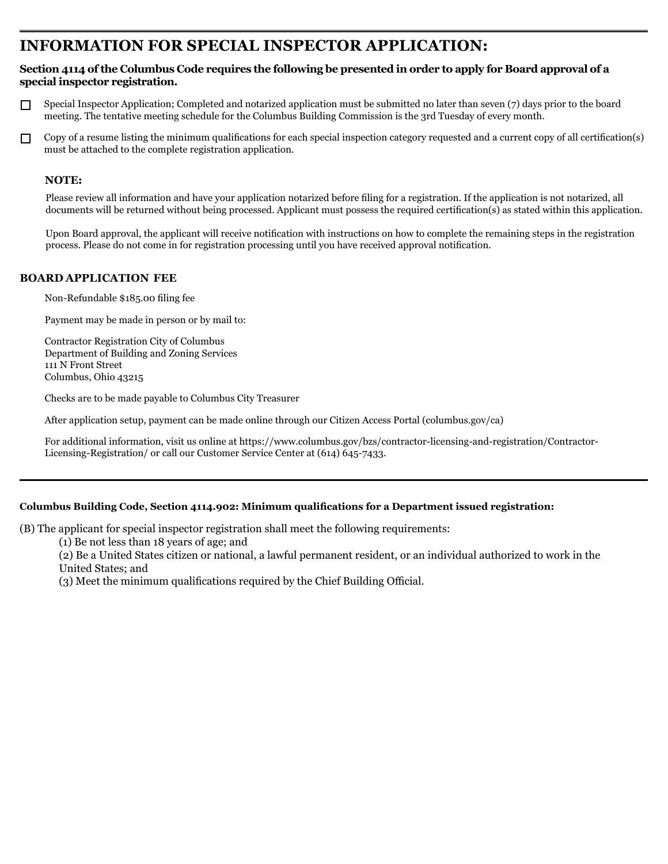# **INFORMATION FOR SPECIAL INSPECTOR application:**

## **Section 4114 of the Columbus Code requires the following be presented in order to apply for Board approval of a special inspector registration.**

- Special Inspector Application; Completed and notarized application must be submitted no later than seven (7) days prior to the board П meeting. The tentative meeting schedule for the Columbus Building Commission is the 3rd Tuesday of every month.
- Copy of a resume listing the minimum qualifications for each special inspection category requested and a current copy of all certification(s)  $\Box$ must be attached to the complete registration application.

# NOTE:

Please review all information and have your application notarized before filing for a registration. If the application is not notarized, all documents will be returned without being processed. Applicant must possess the required certification(s) as stated within this application.

Upon Board approval, the applicant will receive notification with instructions on how to complete the remaining steps in the registration process. Please do not come in for registration processing until you have received approval notification.

### **board application Fee**

Non-Refundable \$185.00 filing fee

Payment may be made in person or by mail to:

Contractor Registration City of Columbus Department of Building and Zoning Services 111 N Front Street Columbus, Ohio 43215

Checks are to be made payable to Columbus City Treasurer

After application setup, payment can be made online through our Citizen Access Portal (columbus.gov/ca)

For additional information, visit us online at https://www.columbus.gov/bzs/contractor-licensing-and-registration/Contractor-Licensing-Registration/ or call our Customer Service Center at (614) 645-7433.

# **Columbus Building Code, Section 4114.902: Minimum qualifications for a Department issued registration:**

(B) The applicant for special inspector registration shall meet the following requirements:

(1) Be not less than 18 years of age; and

(2) Be a United States citizen or national, a lawful permanent resident, or an individual authorized to work in the United States; and

(3) Meet the minimum qualifications required by the Chief Building Official.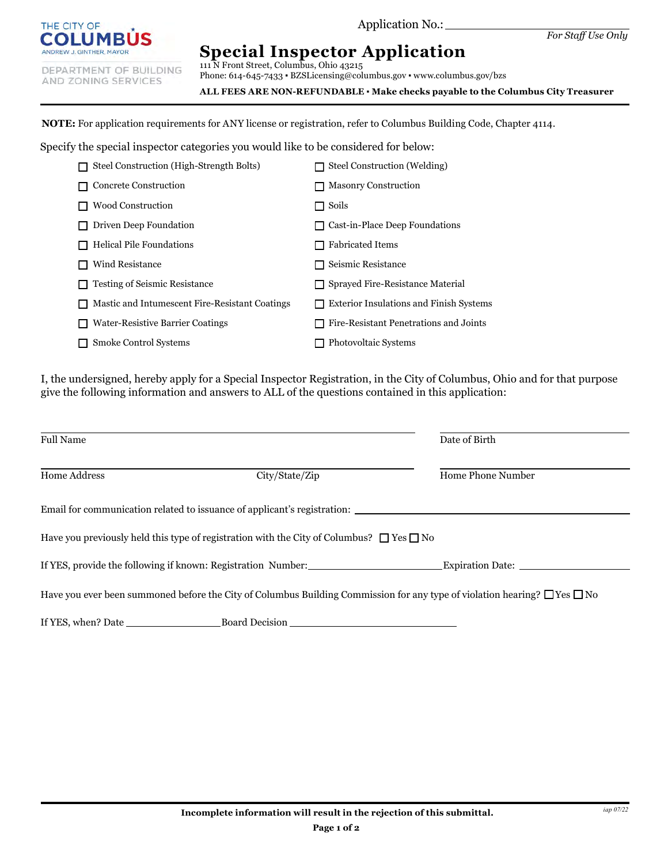

Application No.:

DEPARTMENT OF BUILDING AND ZONING SERVICES

**Special Inspector Application**

111 N Front Street, Columbus, Ohio 43215 Phone: 614-645-7433 • BZSLicensing@columbus.gov • www.columbus.gov/bzs

**ALL FEES ARE NON-REFUNDABLE ▪ Make checks payable to the Columbus City Treasurer**

**NOTE:** For application requirements for ANY license or registration, refer to Columbus Building Code, Chapter 4114.

Specify the special inspector categories you would like to be considered for below:

| Steel Construction (High-Strength Bolts)       | Steel Construction (Welding)                        |
|------------------------------------------------|-----------------------------------------------------|
| <b>Concrete Construction</b>                   | <b>Masonry Construction</b><br>H                    |
| <b>Wood Construction</b>                       | Soils<br>H                                          |
| Driven Deep Foundation                         | Cast-in-Place Deep Foundations                      |
| <b>Helical Pile Foundations</b>                | <b>Fabricated Items</b>                             |
| Wind Resistance                                | Seismic Resistance<br>$\mathsf{L}$                  |
| <b>Testing of Seismic Resistance</b>           | Sprayed Fire-Resistance Material<br>LΙ              |
| Mastic and Intumescent Fire-Resistant Coatings | <b>Exterior Insulations and Finish Systems</b><br>H |
| <b>Water-Resistive Barrier Coatings</b>        | Fire-Resistant Penetrations and Joints              |
| Smoke Control Systems                          | Photovoltaic Systems                                |

I, the undersigned, hereby apply for a Special Inspector Registration, in the City of Columbus, Ohio and for that purpose give the following information and answers to ALL of the questions contained in this application:

| <b>Full Name</b>                                                                                                                    |                                                                                                          | Date of Birth                                                                                  |  |  |  |  |  |  |
|-------------------------------------------------------------------------------------------------------------------------------------|----------------------------------------------------------------------------------------------------------|------------------------------------------------------------------------------------------------|--|--|--|--|--|--|
| Home Address                                                                                                                        | City/State/Zip                                                                                           | Home Phone Number                                                                              |  |  |  |  |  |  |
| Email for communication related to issuance of applicant's registration:                                                            |                                                                                                          |                                                                                                |  |  |  |  |  |  |
|                                                                                                                                     | Have you previously held this type of registration with the City of Columbus? $\square$ Yes $\square$ No |                                                                                                |  |  |  |  |  |  |
|                                                                                                                                     |                                                                                                          | If YES, provide the following if known: Registration Number: Expiration Date: Expiration Date: |  |  |  |  |  |  |
| Have you ever been summoned before the City of Columbus Building Commission for any type of violation hearing? $\Box$ Yes $\Box$ No |                                                                                                          |                                                                                                |  |  |  |  |  |  |
|                                                                                                                                     | Board Decision                                                                                           |                                                                                                |  |  |  |  |  |  |